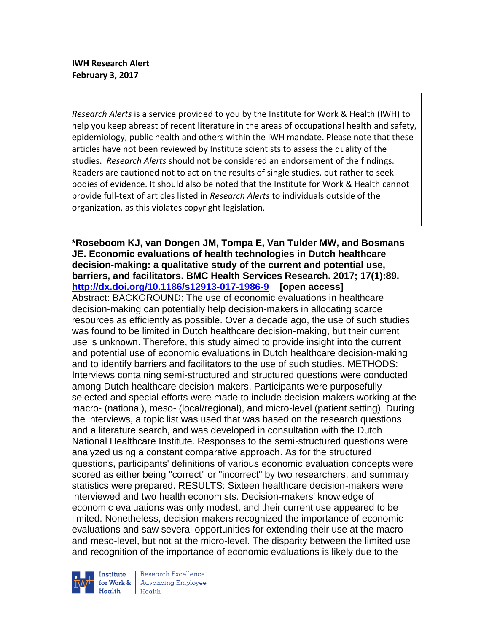*Research Alerts* is a service provided to you by the Institute for Work & Health (IWH) to help you keep abreast of recent literature in the areas of occupational health and safety, epidemiology, public health and others within the IWH mandate. Please note that these articles have not been reviewed by Institute scientists to assess the quality of the studies. *Research Alerts* should not be considered an endorsement of the findings. Readers are cautioned not to act on the results of single studies, but rather to seek bodies of evidence. It should also be noted that the Institute for Work & Health cannot provide full-text of articles listed in *Research Alerts* to individuals outside of the organization, as this violates copyright legislation.

# **\*Roseboom KJ, van Dongen JM, Tompa E, Van Tulder MW, and Bosmans JE. Economic evaluations of health technologies in Dutch healthcare decision-making: a qualitative study of the current and potential use, barriers, and facilitators. BMC Health Services Research. 2017; 17(1):89. <http://dx.doi.org/10.1186/s12913-017-1986-9>[open access]**

Abstract: BACKGROUND: The use of economic evaluations in healthcare decision-making can potentially help decision-makers in allocating scarce resources as efficiently as possible. Over a decade ago, the use of such studies was found to be limited in Dutch healthcare decision-making, but their current use is unknown. Therefore, this study aimed to provide insight into the current and potential use of economic evaluations in Dutch healthcare decision-making and to identify barriers and facilitators to the use of such studies. METHODS: Interviews containing semi-structured and structured questions were conducted among Dutch healthcare decision-makers. Participants were purposefully selected and special efforts were made to include decision-makers working at the macro- (national), meso- (local/regional), and micro-level (patient setting). During the interviews, a topic list was used that was based on the research questions and a literature search, and was developed in consultation with the Dutch National Healthcare Institute. Responses to the semi-structured questions were analyzed using a constant comparative approach. As for the structured questions, participants' definitions of various economic evaluation concepts were scored as either being "correct" or "incorrect" by two researchers, and summary statistics were prepared. RESULTS: Sixteen healthcare decision-makers were interviewed and two health economists. Decision-makers' knowledge of economic evaluations was only modest, and their current use appeared to be limited. Nonetheless, decision-makers recognized the importance of economic evaluations and saw several opportunities for extending their use at the macroand meso-level, but not at the micro-level. The disparity between the limited use and recognition of the importance of economic evaluations is likely due to the



Research Excellence **Advancing Employee** Health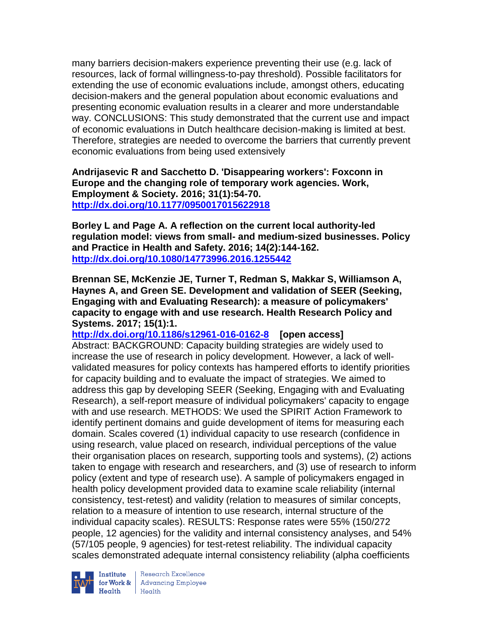many barriers decision-makers experience preventing their use (e.g. lack of resources, lack of formal willingness-to-pay threshold). Possible facilitators for extending the use of economic evaluations include, amongst others, educating decision-makers and the general population about economic evaluations and presenting economic evaluation results in a clearer and more understandable way. CONCLUSIONS: This study demonstrated that the current use and impact of economic evaluations in Dutch healthcare decision-making is limited at best. Therefore, strategies are needed to overcome the barriers that currently prevent economic evaluations from being used extensively

**Andrijasevic R and Sacchetto D. 'Disappearing workers': Foxconn in Europe and the changing role of temporary work agencies. Work, Employment & Society. 2016; 31(1):54-70. <http://dx.doi.org/10.1177/0950017015622918>**

**Borley L and Page A. A reflection on the current local authority-led regulation model: views from small- and medium-sized businesses. Policy and Practice in Health and Safety. 2016; 14(2):144-162. <http://dx.doi.org/10.1080/14773996.2016.1255442>**

**Brennan SE, McKenzie JE, Turner T, Redman S, Makkar S, Williamson A, Haynes A, and Green SE. Development and validation of SEER (Seeking, Engaging with and Evaluating Research): a measure of policymakers' capacity to engage with and use research. Health Research Policy and Systems. 2017; 15(1):1.**

**<http://dx.doi.org/10.1186/s12961-016-0162-8>[open access]** Abstract: BACKGROUND: Capacity building strategies are widely used to increase the use of research in policy development. However, a lack of wellvalidated measures for policy contexts has hampered efforts to identify priorities for capacity building and to evaluate the impact of strategies. We aimed to address this gap by developing SEER (Seeking, Engaging with and Evaluating Research), a self-report measure of individual policymakers' capacity to engage with and use research. METHODS: We used the SPIRIT Action Framework to identify pertinent domains and guide development of items for measuring each domain. Scales covered (1) individual capacity to use research (confidence in using research, value placed on research, individual perceptions of the value their organisation places on research, supporting tools and systems), (2) actions taken to engage with research and researchers, and (3) use of research to inform policy (extent and type of research use). A sample of policymakers engaged in health policy development provided data to examine scale reliability (internal consistency, test-retest) and validity (relation to measures of similar concepts, relation to a measure of intention to use research, internal structure of the individual capacity scales). RESULTS: Response rates were 55% (150/272 people, 12 agencies) for the validity and internal consistency analyses, and 54% (57/105 people, 9 agencies) for test-retest reliability. The individual capacity scales demonstrated adequate internal consistency reliability (alpha coefficients



Institute Research Excellence<br>
for Work & Advancing Employee<br>
Health Health  $Heath$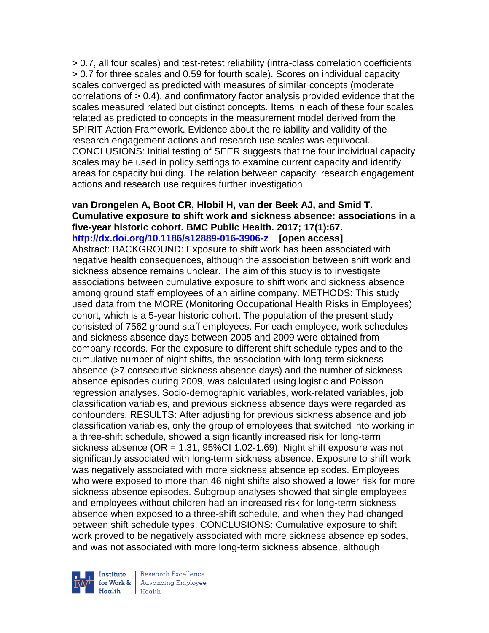> 0.7, all four scales) and test-retest reliability (intra-class correlation coefficients > 0.7 for three scales and 0.59 for fourth scale). Scores on individual capacity scales converged as predicted with measures of similar concepts (moderate correlations of > 0.4), and confirmatory factor analysis provided evidence that the scales measured related but distinct concepts. Items in each of these four scales related as predicted to concepts in the measurement model derived from the SPIRIT Action Framework. Evidence about the reliability and validity of the research engagement actions and research use scales was equivocal. CONCLUSIONS: Initial testing of SEER suggests that the four individual capacity scales may be used in policy settings to examine current capacity and identify areas for capacity building. The relation between capacity, research engagement actions and research use requires further investigation

#### **van Drongelen A, Boot CR, Hlobil H, van der Beek AJ, and Smid T. Cumulative exposure to shift work and sickness absence: associations in a five-year historic cohort. BMC Public Health. 2017; 17(1):67. <http://dx.doi.org/10.1186/s12889-016-3906-z>[open access]**

Abstract: BACKGROUND: Exposure to shift work has been associated with negative health consequences, although the association between shift work and sickness absence remains unclear. The aim of this study is to investigate associations between cumulative exposure to shift work and sickness absence among ground staff employees of an airline company. METHODS: This study used data from the MORE (Monitoring Occupational Health Risks in Employees) cohort, which is a 5-year historic cohort. The population of the present study consisted of 7562 ground staff employees. For each employee, work schedules and sickness absence days between 2005 and 2009 were obtained from company records. For the exposure to different shift schedule types and to the cumulative number of night shifts, the association with long-term sickness absence (>7 consecutive sickness absence days) and the number of sickness absence episodes during 2009, was calculated using logistic and Poisson regression analyses. Socio-demographic variables, work-related variables, job classification variables, and previous sickness absence days were regarded as confounders. RESULTS: After adjusting for previous sickness absence and job classification variables, only the group of employees that switched into working in a three-shift schedule, showed a significantly increased risk for long-term sickness absence (OR =  $1.31$ , 95%CI 1.02-1.69). Night shift exposure was not significantly associated with long-term sickness absence. Exposure to shift work was negatively associated with more sickness absence episodes. Employees who were exposed to more than 46 night shifts also showed a lower risk for more sickness absence episodes. Subgroup analyses showed that single employees and employees without children had an increased risk for long-term sickness absence when exposed to a three-shift schedule, and when they had changed between shift schedule types. CONCLUSIONS: Cumulative exposure to shift work proved to be negatively associated with more sickness absence episodes, and was not associated with more long-term sickness absence, although



Research Excellence for Work & Advancing Employee  $H_{\text{eath}}$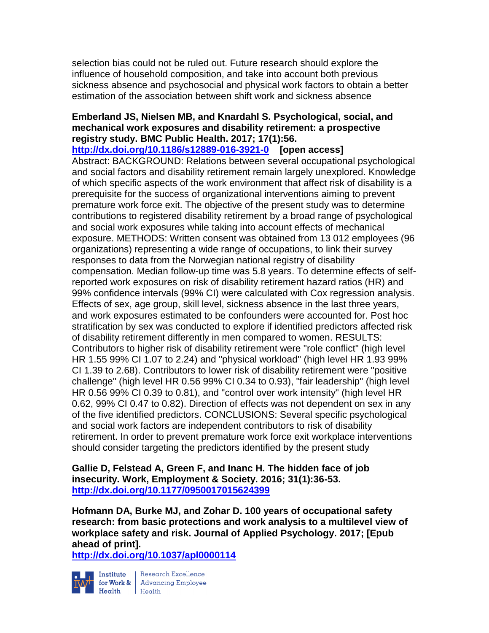selection bias could not be ruled out. Future research should explore the influence of household composition, and take into account both previous sickness absence and psychosocial and physical work factors to obtain a better estimation of the association between shift work and sickness absence

## **Emberland JS, Nielsen MB, and Knardahl S. Psychological, social, and mechanical work exposures and disability retirement: a prospective registry study. BMC Public Health. 2017; 17(1):56.**

**<http://dx.doi.org/10.1186/s12889-016-3921-0>[open access]**

Abstract: BACKGROUND: Relations between several occupational psychological and social factors and disability retirement remain largely unexplored. Knowledge of which specific aspects of the work environment that affect risk of disability is a prerequisite for the success of organizational interventions aiming to prevent premature work force exit. The objective of the present study was to determine contributions to registered disability retirement by a broad range of psychological and social work exposures while taking into account effects of mechanical exposure. METHODS: Written consent was obtained from 13 012 employees (96 organizations) representing a wide range of occupations, to link their survey responses to data from the Norwegian national registry of disability compensation. Median follow-up time was 5.8 years. To determine effects of selfreported work exposures on risk of disability retirement hazard ratios (HR) and 99% confidence intervals (99% CI) were calculated with Cox regression analysis. Effects of sex, age group, skill level, sickness absence in the last three years, and work exposures estimated to be confounders were accounted for. Post hoc stratification by sex was conducted to explore if identified predictors affected risk of disability retirement differently in men compared to women. RESULTS: Contributors to higher risk of disability retirement were "role conflict" (high level HR 1.55 99% CI 1.07 to 2.24) and "physical workload" (high level HR 1.93 99% CI 1.39 to 2.68). Contributors to lower risk of disability retirement were "positive challenge" (high level HR 0.56 99% CI 0.34 to 0.93), "fair leadership" (high level HR 0.56 99% CI 0.39 to 0.81), and "control over work intensity" (high level HR 0.62, 99% CI 0.47 to 0.82). Direction of effects was not dependent on sex in any of the five identified predictors. CONCLUSIONS: Several specific psychological and social work factors are independent contributors to risk of disability retirement. In order to prevent premature work force exit workplace interventions should consider targeting the predictors identified by the present study

**Gallie D, Felstead A, Green F, and Inanc H. The hidden face of job insecurity. Work, Employment & Society. 2016; 31(1):36-53. <http://dx.doi.org/10.1177/0950017015624399>**

**Hofmann DA, Burke MJ, and Zohar D. 100 years of occupational safety research: from basic protections and work analysis to a multilevel view of workplace safety and risk. Journal of Applied Psychology. 2017; [Epub ahead of print].**

**<http://dx.doi.org/10.1037/apl0000114>**



Institute Research Excellence<br>
for Work & Advancing Employee<br>
Health Health  $Heath$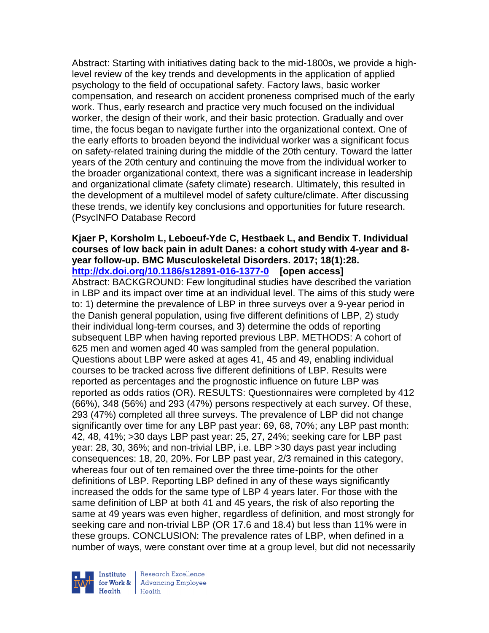Abstract: Starting with initiatives dating back to the mid-1800s, we provide a highlevel review of the key trends and developments in the application of applied psychology to the field of occupational safety. Factory laws, basic worker compensation, and research on accident proneness comprised much of the early work. Thus, early research and practice very much focused on the individual worker, the design of their work, and their basic protection. Gradually and over time, the focus began to navigate further into the organizational context. One of the early efforts to broaden beyond the individual worker was a significant focus on safety-related training during the middle of the 20th century. Toward the latter years of the 20th century and continuing the move from the individual worker to the broader organizational context, there was a significant increase in leadership and organizational climate (safety climate) research. Ultimately, this resulted in the development of a multilevel model of safety culture/climate. After discussing these trends, we identify key conclusions and opportunities for future research. (PsycINFO Database Record

#### **Kjaer P, Korsholm L, Leboeuf-Yde C, Hestbaek L, and Bendix T. Individual courses of low back pain in adult Danes: a cohort study with 4-year and 8 year follow-up. BMC Musculoskeletal Disorders. 2017; 18(1):28. <http://dx.doi.org/10.1186/s12891-016-1377-0>[open access]**

Abstract: BACKGROUND: Few longitudinal studies have described the variation in LBP and its impact over time at an individual level. The aims of this study were to: 1) determine the prevalence of LBP in three surveys over a 9-year period in the Danish general population, using five different definitions of LBP, 2) study their individual long-term courses, and 3) determine the odds of reporting subsequent LBP when having reported previous LBP. METHODS: A cohort of 625 men and women aged 40 was sampled from the general population. Questions about LBP were asked at ages 41, 45 and 49, enabling individual courses to be tracked across five different definitions of LBP. Results were reported as percentages and the prognostic influence on future LBP was reported as odds ratios (OR). RESULTS: Questionnaires were completed by 412 (66%), 348 (56%) and 293 (47%) persons respectively at each survey. Of these, 293 (47%) completed all three surveys. The prevalence of LBP did not change significantly over time for any LBP past year: 69, 68, 70%; any LBP past month: 42, 48, 41%; >30 days LBP past year: 25, 27, 24%; seeking care for LBP past year: 28, 30, 36%; and non-trivial LBP, i.e. LBP >30 days past year including consequences: 18, 20, 20%. For LBP past year, 2/3 remained in this category, whereas four out of ten remained over the three time-points for the other definitions of LBP. Reporting LBP defined in any of these ways significantly increased the odds for the same type of LBP 4 years later. For those with the same definition of LBP at both 41 and 45 years, the risk of also reporting the same at 49 years was even higher, regardless of definition, and most strongly for seeking care and non-trivial LBP (OR 17.6 and 18.4) but less than 11% were in these groups. CONCLUSION: The prevalence rates of LBP, when defined in a number of ways, were constant over time at a group level, but did not necessarily

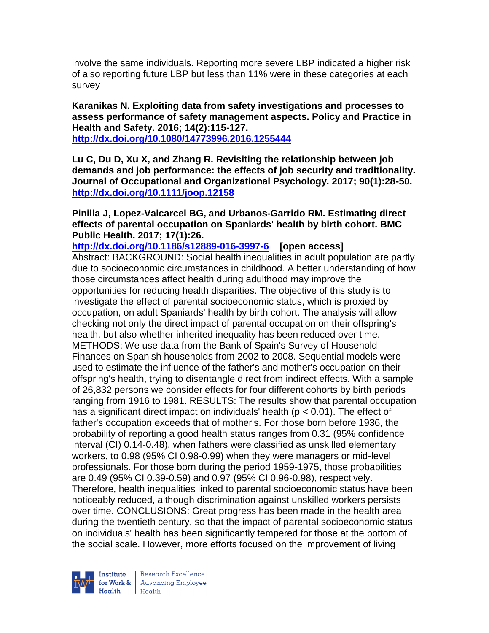involve the same individuals. Reporting more severe LBP indicated a higher risk of also reporting future LBP but less than 11% were in these categories at each survey

**Karanikas N. Exploiting data from safety investigations and processes to assess performance of safety management aspects. Policy and Practice in Health and Safety. 2016; 14(2):115-127. <http://dx.doi.org/10.1080/14773996.2016.1255444>**

**Lu C, Du D, Xu X, and Zhang R. Revisiting the relationship between job demands and job performance: the effects of job security and traditionality.** 

**Journal of Occupational and Organizational Psychology. 2017; 90(1):28-50. <http://dx.doi.org/10.1111/joop.12158>**

**Pinilla J, Lopez-Valcarcel BG, and Urbanos-Garrido RM. Estimating direct effects of parental occupation on Spaniards' health by birth cohort. BMC Public Health. 2017; 17(1):26.**

**<http://dx.doi.org/10.1186/s12889-016-3997-6>[open access]** Abstract: BACKGROUND: Social health inequalities in adult population are partly due to socioeconomic circumstances in childhood. A better understanding of how those circumstances affect health during adulthood may improve the opportunities for reducing health disparities. The objective of this study is to investigate the effect of parental socioeconomic status, which is proxied by occupation, on adult Spaniards' health by birth cohort. The analysis will allow checking not only the direct impact of parental occupation on their offspring's health, but also whether inherited inequality has been reduced over time. METHODS: We use data from the Bank of Spain's Survey of Household Finances on Spanish households from 2002 to 2008. Sequential models were used to estimate the influence of the father's and mother's occupation on their offspring's health, trying to disentangle direct from indirect effects. With a sample of 26,832 persons we consider effects for four different cohorts by birth periods ranging from 1916 to 1981. RESULTS: The results show that parental occupation has a significant direct impact on individuals' health ( $p < 0.01$ ). The effect of father's occupation exceeds that of mother's. For those born before 1936, the probability of reporting a good health status ranges from 0.31 (95% confidence interval (CI) 0.14-0.48), when fathers were classified as unskilled elementary workers, to 0.98 (95% CI 0.98-0.99) when they were managers or mid-level professionals. For those born during the period 1959-1975, those probabilities are 0.49 (95% CI 0.39-0.59) and 0.97 (95% CI 0.96-0.98), respectively. Therefore, health inequalities linked to parental socioeconomic status have been noticeably reduced, although discrimination against unskilled workers persists over time. CONCLUSIONS: Great progress has been made in the health area during the twentieth century, so that the impact of parental socioeconomic status on individuals' health has been significantly tempered for those at the bottom of the social scale. However, more efforts focused on the improvement of living

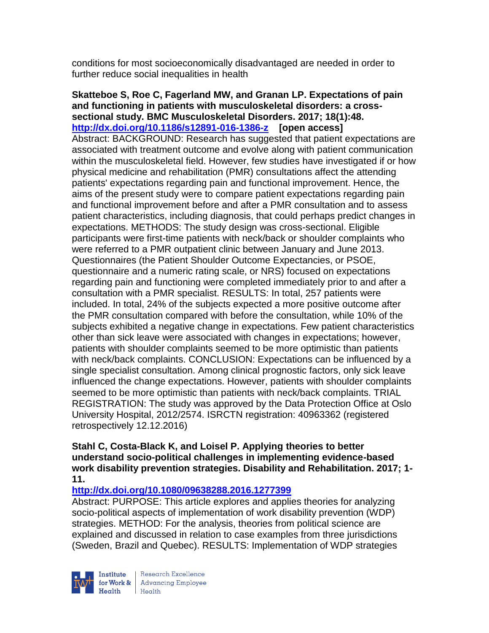conditions for most socioeconomically disadvantaged are needed in order to further reduce social inequalities in health

**Skatteboe S, Roe C, Fagerland MW, and Granan LP. Expectations of pain and functioning in patients with musculoskeletal disorders: a crosssectional study. BMC Musculoskeletal Disorders. 2017; 18(1):48. <http://dx.doi.org/10.1186/s12891-016-1386-z>[open access]** Abstract: BACKGROUND: Research has suggested that patient expectations are associated with treatment outcome and evolve along with patient communication within the musculoskeletal field. However, few studies have investigated if or how physical medicine and rehabilitation (PMR) consultations affect the attending patients' expectations regarding pain and functional improvement. Hence, the aims of the present study were to compare patient expectations regarding pain and functional improvement before and after a PMR consultation and to assess patient characteristics, including diagnosis, that could perhaps predict changes in expectations. METHODS: The study design was cross-sectional. Eligible participants were first-time patients with neck/back or shoulder complaints who were referred to a PMR outpatient clinic between January and June 2013. Questionnaires (the Patient Shoulder Outcome Expectancies, or PSOE, questionnaire and a numeric rating scale, or NRS) focused on expectations regarding pain and functioning were completed immediately prior to and after a consultation with a PMR specialist. RESULTS: In total, 257 patients were included. In total, 24% of the subjects expected a more positive outcome after the PMR consultation compared with before the consultation, while 10% of the subjects exhibited a negative change in expectations. Few patient characteristics other than sick leave were associated with changes in expectations; however, patients with shoulder complaints seemed to be more optimistic than patients with neck/back complaints. CONCLUSION: Expectations can be influenced by a single specialist consultation. Among clinical prognostic factors, only sick leave influenced the change expectations. However, patients with shoulder complaints seemed to be more optimistic than patients with neck/back complaints. TRIAL REGISTRATION: The study was approved by the Data Protection Office at Oslo University Hospital, 2012/2574. ISRCTN registration: 40963362 (registered retrospectively 12.12.2016)

### **Stahl C, Costa-Black K, and Loisel P. Applying theories to better understand socio-political challenges in implementing evidence-based work disability prevention strategies. Disability and Rehabilitation. 2017; 1- 11.**

# **<http://dx.doi.org/10.1080/09638288.2016.1277399>**

Abstract: PURPOSE: This article explores and applies theories for analyzing socio-political aspects of implementation of work disability prevention (WDP) strategies. METHOD: For the analysis, theories from political science are explained and discussed in relation to case examples from three jurisdictions (Sweden, Brazil and Quebec). RESULTS: Implementation of WDP strategies

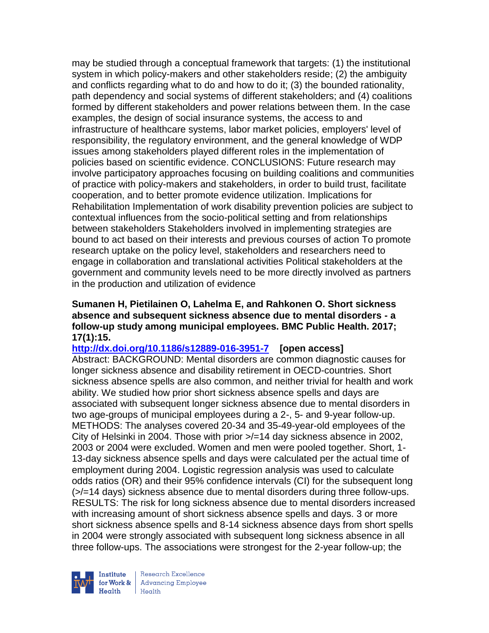may be studied through a conceptual framework that targets: (1) the institutional system in which policy-makers and other stakeholders reside; (2) the ambiguity and conflicts regarding what to do and how to do it; (3) the bounded rationality, path dependency and social systems of different stakeholders; and (4) coalitions formed by different stakeholders and power relations between them. In the case examples, the design of social insurance systems, the access to and infrastructure of healthcare systems, labor market policies, employers' level of responsibility, the regulatory environment, and the general knowledge of WDP issues among stakeholders played different roles in the implementation of policies based on scientific evidence. CONCLUSIONS: Future research may involve participatory approaches focusing on building coalitions and communities of practice with policy-makers and stakeholders, in order to build trust, facilitate cooperation, and to better promote evidence utilization. Implications for Rehabilitation Implementation of work disability prevention policies are subject to contextual influences from the socio-political setting and from relationships between stakeholders Stakeholders involved in implementing strategies are bound to act based on their interests and previous courses of action To promote research uptake on the policy level, stakeholders and researchers need to engage in collaboration and translational activities Political stakeholders at the government and community levels need to be more directly involved as partners in the production and utilization of evidence

### **Sumanen H, Pietilainen O, Lahelma E, and Rahkonen O. Short sickness absence and subsequent sickness absence due to mental disorders - a follow-up study among municipal employees. BMC Public Health. 2017; 17(1):15.**

**<http://dx.doi.org/10.1186/s12889-016-3951-7>[open access]** Abstract: BACKGROUND: Mental disorders are common diagnostic causes for longer sickness absence and disability retirement in OECD-countries. Short sickness absence spells are also common, and neither trivial for health and work ability. We studied how prior short sickness absence spells and days are associated with subsequent longer sickness absence due to mental disorders in two age-groups of municipal employees during a 2-, 5- and 9-year follow-up. METHODS: The analyses covered 20-34 and 35-49-year-old employees of the City of Helsinki in 2004. Those with prior >/=14 day sickness absence in 2002, 2003 or 2004 were excluded. Women and men were pooled together. Short, 1- 13-day sickness absence spells and days were calculated per the actual time of employment during 2004. Logistic regression analysis was used to calculate odds ratios (OR) and their 95% confidence intervals (CI) for the subsequent long (>/=14 days) sickness absence due to mental disorders during three follow-ups. RESULTS: The risk for long sickness absence due to mental disorders increased with increasing amount of short sickness absence spells and days. 3 or more short sickness absence spells and 8-14 sickness absence days from short spells in 2004 were strongly associated with subsequent long sickness absence in all three follow-ups. The associations were strongest for the 2-year follow-up; the



Research Excellence for Work & | Advancing Employee Health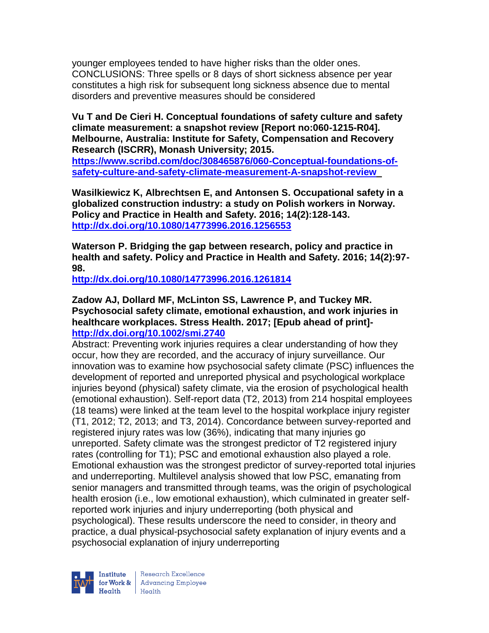younger employees tended to have higher risks than the older ones. CONCLUSIONS: Three spells or 8 days of short sickness absence per year constitutes a high risk for subsequent long sickness absence due to mental disorders and preventive measures should be considered

**Vu T and De Cieri H. Conceptual foundations of safety culture and safety climate measurement: a snapshot review [Report no:060-1215-R04]. Melbourne, Australia: Institute for Safety, Compensation and Recovery Research (ISCRR), Monash University; 2015.** 

**[https://www.scribd.com/doc/308465876/060-Conceptual-foundations-of](https://www.scribd.com/doc/308465876/060-Conceptual-foundations-of-safety-culture-and-safety-climate-measurement-A-snapshot-review)[safety-culture-and-safety-climate-measurement-A-snapshot-review](https://www.scribd.com/doc/308465876/060-Conceptual-foundations-of-safety-culture-and-safety-climate-measurement-A-snapshot-review)**

**Wasilkiewicz K, Albrechtsen E, and Antonsen S. Occupational safety in a globalized construction industry: a study on Polish workers in Norway. Policy and Practice in Health and Safety. 2016; 14(2):128-143. <http://dx.doi.org/10.1080/14773996.2016.1256553>**

**Waterson P. Bridging the gap between research, policy and practice in health and safety. Policy and Practice in Health and Safety. 2016; 14(2):97- 98.** 

**<http://dx.doi.org/10.1080/14773996.2016.1261814>**

## **Zadow AJ, Dollard MF, McLinton SS, Lawrence P, and Tuckey MR. Psychosocial safety climate, emotional exhaustion, and work injuries in healthcare workplaces. Stress Health. 2017; [Epub ahead of print] <http://dx.doi.org/10.1002/smi.2740>**

Abstract: Preventing work injuries requires a clear understanding of how they occur, how they are recorded, and the accuracy of injury surveillance. Our innovation was to examine how psychosocial safety climate (PSC) influences the development of reported and unreported physical and psychological workplace injuries beyond (physical) safety climate, via the erosion of psychological health (emotional exhaustion). Self-report data (T2, 2013) from 214 hospital employees (18 teams) were linked at the team level to the hospital workplace injury register (T1, 2012; T2, 2013; and T3, 2014). Concordance between survey-reported and registered injury rates was low (36%), indicating that many injuries go unreported. Safety climate was the strongest predictor of T2 registered injury rates (controlling for T1); PSC and emotional exhaustion also played a role. Emotional exhaustion was the strongest predictor of survey-reported total injuries and underreporting. Multilevel analysis showed that low PSC, emanating from senior managers and transmitted through teams, was the origin of psychological health erosion (i.e., low emotional exhaustion), which culminated in greater selfreported work injuries and injury underreporting (both physical and psychological). These results underscore the need to consider, in theory and practice, a dual physical-psychosocial safety explanation of injury events and a psychosocial explanation of injury underreporting



| Research Excellence for Work & | Advancing Employee  $Heath$